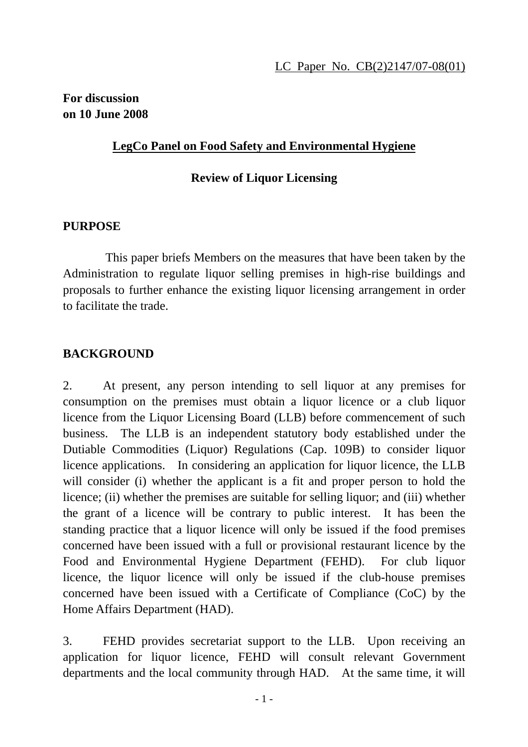### **For discussion on 10 June 2008**

### **LegCo Panel on Food Safety and Environmental Hygiene**

#### **Review of Liquor Licensing**

### **PURPOSE**

 This paper briefs Members on the measures that have been taken by the Administration to regulate liquor selling premises in high-rise buildings and proposals to further enhance the existing liquor licensing arrangement in order to facilitate the trade.

# **BACKGROUND**

2. At present, any person intending to sell liquor at any premises for consumption on the premises must obtain a liquor licence or a club liquor licence from the Liquor Licensing Board (LLB) before commencement of such business. The LLB is an independent statutory body established under the Dutiable Commodities (Liquor) Regulations (Cap. 109B) to consider liquor licence applications. In considering an application for liquor licence, the LLB will consider (i) whether the applicant is a fit and proper person to hold the licence; (ii) whether the premises are suitable for selling liquor; and (iii) whether the grant of a licence will be contrary to public interest. It has been the standing practice that a liquor licence will only be issued if the food premises concerned have been issued with a full or provisional restaurant licence by the Food and Environmental Hygiene Department (FEHD). For club liquor licence, the liquor licence will only be issued if the club-house premises concerned have been issued with a Certificate of Compliance (CoC) by the Home Affairs Department (HAD).

3. FEHD provides secretariat support to the LLB. Upon receiving an application for liquor licence, FEHD will consult relevant Government departments and the local community through HAD. At the same time, it will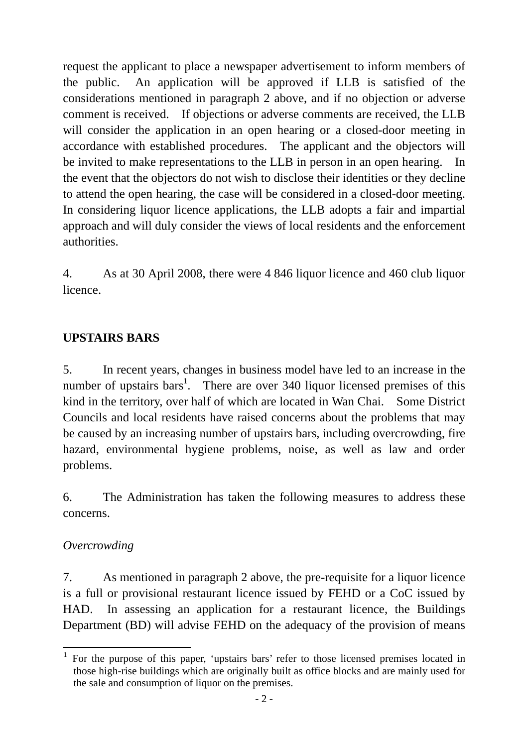request the applicant to place a newspaper advertisement to inform members of the public. An application will be approved if LLB is satisfied of the considerations mentioned in paragraph 2 above, and if no objection or adverse comment is received. If objections or adverse comments are received, the LLB will consider the application in an open hearing or a closed-door meeting in accordance with established procedures. The applicant and the objectors will be invited to make representations to the LLB in person in an open hearing. In the event that the objectors do not wish to disclose their identities or they decline to attend the open hearing, the case will be considered in a closed-door meeting. In considering liquor licence applications, the LLB adopts a fair and impartial approach and will duly consider the views of local residents and the enforcement authorities.

4. As at 30 April 2008, there were 4 846 liquor licence and 460 club liquor licence.

# **UPSTAIRS BARS**

5. In recent years, changes in business model have led to an increase in the number of upstairs bars<sup>1</sup>. There are over 340 liquor licensed premises of this kind in the territory, over half of which are located in Wan Chai. Some District Councils and local residents have raised concerns about the problems that may be caused by an increasing number of upstairs bars, including overcrowding, fire hazard, environmental hygiene problems, noise, as well as law and order problems.

6. The Administration has taken the following measures to address these concerns.

# *Overcrowding*

7. As mentioned in paragraph 2 above, the pre-requisite for a liquor licence is a full or provisional restaurant licence issued by FEHD or a CoC issued by HAD. In assessing an application for a restaurant licence, the Buildings Department (BD) will advise FEHD on the adequacy of the provision of means

 $\overline{a}$ 1 For the purpose of this paper, 'upstairs bars' refer to those licensed premises located in those high-rise buildings which are originally built as office blocks and are mainly used for the sale and consumption of liquor on the premises.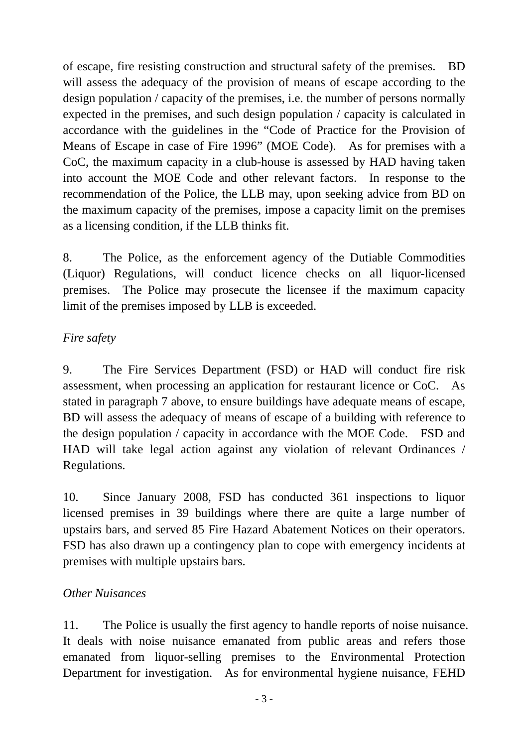of escape, fire resisting construction and structural safety of the premises. BD will assess the adequacy of the provision of means of escape according to the design population / capacity of the premises, i.e. the number of persons normally expected in the premises, and such design population / capacity is calculated in accordance with the guidelines in the "Code of Practice for the Provision of Means of Escape in case of Fire 1996" (MOE Code). As for premises with a CoC, the maximum capacity in a club-house is assessed by HAD having taken into account the MOE Code and other relevant factors. In response to the recommendation of the Police, the LLB may, upon seeking advice from BD on the maximum capacity of the premises, impose a capacity limit on the premises as a licensing condition, if the LLB thinks fit.

8. The Police, as the enforcement agency of the Dutiable Commodities (Liquor) Regulations, will conduct licence checks on all liquor-licensed premises. The Police may prosecute the licensee if the maximum capacity limit of the premises imposed by LLB is exceeded.

### *Fire safety*

9. The Fire Services Department (FSD) or HAD will conduct fire risk assessment, when processing an application for restaurant licence or CoC. As stated in paragraph 7 above, to ensure buildings have adequate means of escape, BD will assess the adequacy of means of escape of a building with reference to the design population / capacity in accordance with the MOE Code. FSD and HAD will take legal action against any violation of relevant Ordinances / Regulations.

10. Since January 2008, FSD has conducted 361 inspections to liquor licensed premises in 39 buildings where there are quite a large number of upstairs bars, and served 85 Fire Hazard Abatement Notices on their operators. FSD has also drawn up a contingency plan to cope with emergency incidents at premises with multiple upstairs bars.

# *Other Nuisances*

11. The Police is usually the first agency to handle reports of noise nuisance. It deals with noise nuisance emanated from public areas and refers those emanated from liquor-selling premises to the Environmental Protection Department for investigation. As for environmental hygiene nuisance, FEHD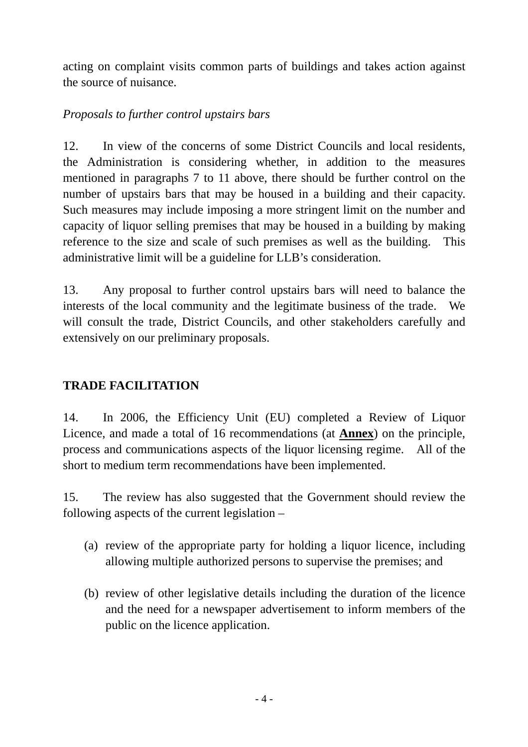acting on complaint visits common parts of buildings and takes action against the source of nuisance.

### *Proposals to further control upstairs bars*

12. In view of the concerns of some District Councils and local residents, the Administration is considering whether, in addition to the measures mentioned in paragraphs 7 to 11 above, there should be further control on the number of upstairs bars that may be housed in a building and their capacity. Such measures may include imposing a more stringent limit on the number and capacity of liquor selling premises that may be housed in a building by making reference to the size and scale of such premises as well as the building. This administrative limit will be a guideline for LLB's consideration.

13. Any proposal to further control upstairs bars will need to balance the interests of the local community and the legitimate business of the trade. We will consult the trade, District Councils, and other stakeholders carefully and extensively on our preliminary proposals.

# **TRADE FACILITATION**

14. In 2006, the Efficiency Unit (EU) completed a Review of Liquor Licence, and made a total of 16 recommendations (at **Annex**) on the principle, process and communications aspects of the liquor licensing regime. All of the short to medium term recommendations have been implemented.

15. The review has also suggested that the Government should review the following aspects of the current legislation –

- (a) review of the appropriate party for holding a liquor licence, including allowing multiple authorized persons to supervise the premises; and
- (b) review of other legislative details including the duration of the licence and the need for a newspaper advertisement to inform members of the public on the licence application.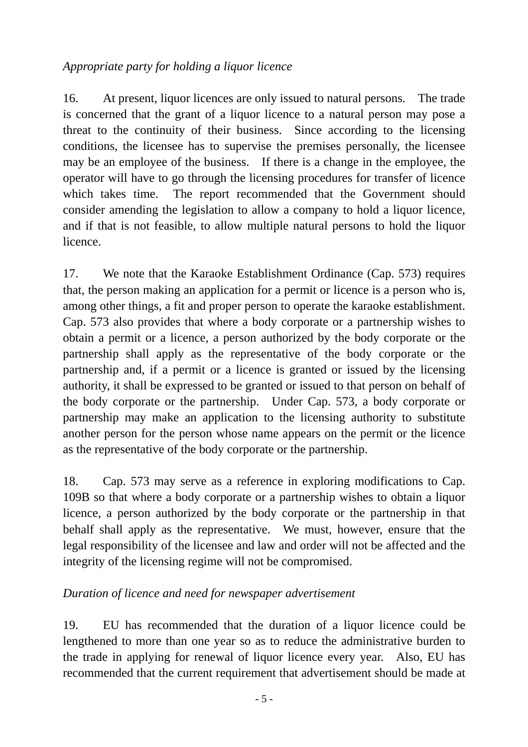### *Appropriate party for holding a liquor licence*

16. At present, liquor licences are only issued to natural persons. The trade is concerned that the grant of a liquor licence to a natural person may pose a threat to the continuity of their business. Since according to the licensing conditions, the licensee has to supervise the premises personally, the licensee may be an employee of the business. If there is a change in the employee, the operator will have to go through the licensing procedures for transfer of licence which takes time. The report recommended that the Government should consider amending the legislation to allow a company to hold a liquor licence, and if that is not feasible, to allow multiple natural persons to hold the liquor licence.

17. We note that the Karaoke Establishment Ordinance (Cap. 573) requires that, the person making an application for a permit or licence is a person who is, among other things, a fit and proper person to operate the karaoke establishment. Cap. 573 also provides that where a body corporate or a partnership wishes to obtain a permit or a licence, a person authorized by the body corporate or the partnership shall apply as the representative of the body corporate or the partnership and, if a permit or a licence is granted or issued by the licensing authority, it shall be expressed to be granted or issued to that person on behalf of the body corporate or the partnership. Under Cap. 573, a body corporate or partnership may make an application to the licensing authority to substitute another person for the person whose name appears on the permit or the licence as the representative of the body corporate or the partnership.

18. Cap. 573 may serve as a reference in exploring modifications to Cap. 109B so that where a body corporate or a partnership wishes to obtain a liquor licence, a person authorized by the body corporate or the partnership in that behalf shall apply as the representative. We must, however, ensure that the legal responsibility of the licensee and law and order will not be affected and the integrity of the licensing regime will not be compromised.

# *Duration of licence and need for newspaper advertisement*

19. EU has recommended that the duration of a liquor licence could be lengthened to more than one year so as to reduce the administrative burden to the trade in applying for renewal of liquor licence every year. Also, EU has recommended that the current requirement that advertisement should be made at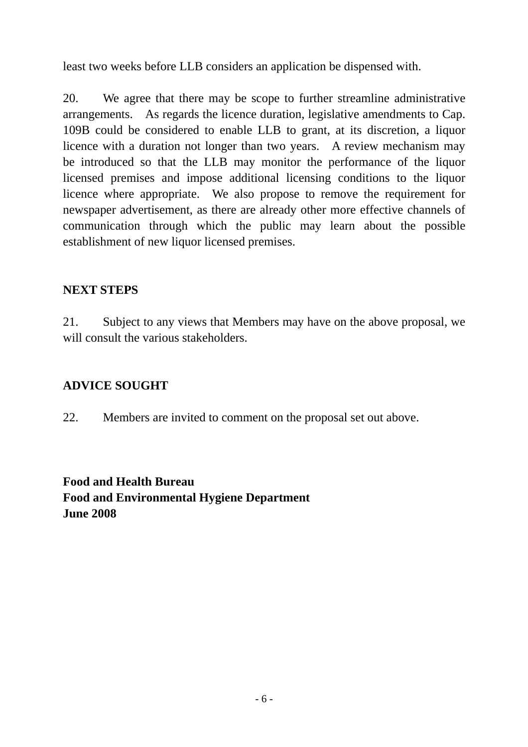least two weeks before LLB considers an application be dispensed with.

20. We agree that there may be scope to further streamline administrative arrangements. As regards the licence duration, legislative amendments to Cap. 109B could be considered to enable LLB to grant, at its discretion, a liquor licence with a duration not longer than two years. A review mechanism may be introduced so that the LLB may monitor the performance of the liquor licensed premises and impose additional licensing conditions to the liquor licence where appropriate. We also propose to remove the requirement for newspaper advertisement, as there are already other more effective channels of communication through which the public may learn about the possible establishment of new liquor licensed premises.

### **NEXT STEPS**

21. Subject to any views that Members may have on the above proposal, we will consult the various stakeholders.

### **ADVICE SOUGHT**

22. Members are invited to comment on the proposal set out above.

**Food and Health Bureau Food and Environmental Hygiene Department June 2008**